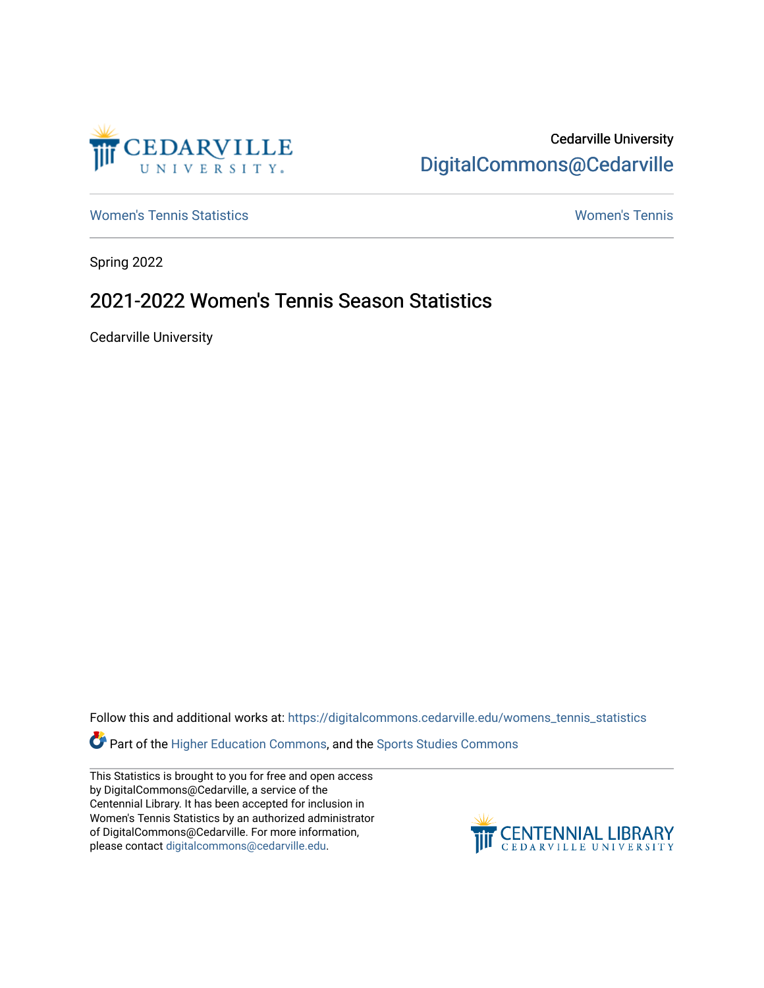

## Cedarville University [DigitalCommons@Cedarville](https://digitalcommons.cedarville.edu/)

[Women's Tennis Statistics](https://digitalcommons.cedarville.edu/womens_tennis_statistics) [Women's Tennis](https://digitalcommons.cedarville.edu/womens_tennis) 

Spring 2022

## 2021-2022 Women's Tennis Season Statistics

Cedarville University

Follow this and additional works at: [https://digitalcommons.cedarville.edu/womens\\_tennis\\_statistics](https://digitalcommons.cedarville.edu/womens_tennis_statistics?utm_source=digitalcommons.cedarville.edu%2Fwomens_tennis_statistics%2F336&utm_medium=PDF&utm_campaign=PDFCoverPages) 

**Part of the [Higher Education Commons,](https://network.bepress.com/hgg/discipline/1245?utm_source=digitalcommons.cedarville.edu%2Fwomens_tennis_statistics%2F336&utm_medium=PDF&utm_campaign=PDFCoverPages) and the Sports Studies Commons** 

This Statistics is brought to you for free and open access by DigitalCommons@Cedarville, a service of the Centennial Library. It has been accepted for inclusion in Women's Tennis Statistics by an authorized administrator of DigitalCommons@Cedarville. For more information, please contact [digitalcommons@cedarville.edu](mailto:digitalcommons@cedarville.edu).

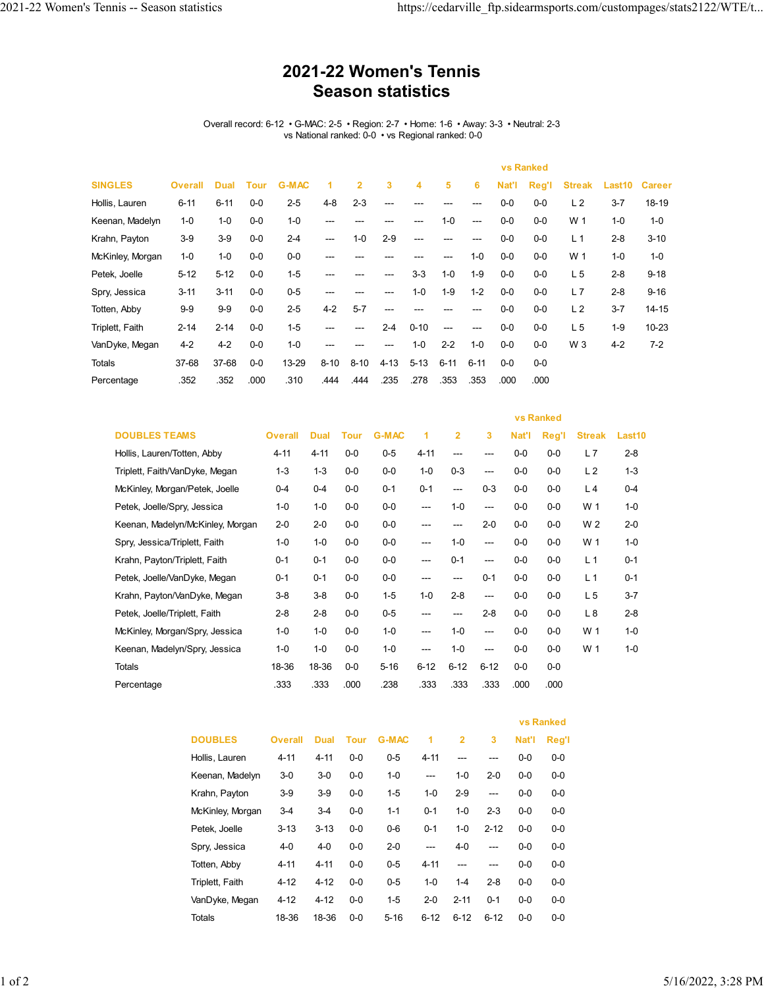## **2021-22 Women's Tennis Season statistics**

Overall record: 6-12 • G-MAC: 2-5 • Region: 2-7 • Home: 1-6 • Away: 3-3 • Neutral: 2-3 vs National ranked: 0-0 • vs Regional ranked: 0-0

| <b>SINGLES</b>   | <b>Overall</b> | <b>Dual</b> | <b>Tour</b> | <b>G-MAC</b> | 1        | $\overline{2}$ | 3        | 4        | 5        | 6        | Nat'l | Reg'l | <b>Streak</b>  | Last10  | <b>Career</b> |
|------------------|----------------|-------------|-------------|--------------|----------|----------------|----------|----------|----------|----------|-------|-------|----------------|---------|---------------|
| Hollis, Lauren   | $6 - 11$       | $6 - 11$    | $0-0$       | $2 - 5$      | $4 - 8$  | $2 - 3$        | ---      |          |          |          | $0-0$ | $0-0$ | L <sub>2</sub> | $3 - 7$ | 18-19         |
| Keenan, Madelyn  | $1 - 0$        | $1 - 0$     | $0-0$       | $1 - 0$      | ---      | ---            | ---      |          | $1 - 0$  | ---      | $0-0$ | $0-0$ | W 1            | $1 - 0$ | $1 - 0$       |
| Krahn, Payton    | $3-9$          | $3-9$       | $0-0$       | $2 - 4$      | ---      | $1 - 0$        | $2 - 9$  | ---      |          |          | $0-0$ | $0-0$ | L <sub>1</sub> | $2 - 8$ | $3 - 10$      |
| McKinley, Morgan | $1 - 0$        | $1 - 0$     | $0-0$       | $0-0$        | ---      |                |          |          |          | $1 - 0$  | $0-0$ | $0-0$ | W 1            | $1 - 0$ | $1 - 0$       |
| Petek, Joelle    | $5 - 12$       | $5 - 12$    | $0-0$       | $1 - 5$      | ---      |                |          | $3-3$    | $1 - 0$  | $1 - 9$  | $0-0$ | $0-0$ | L <sub>5</sub> | $2 - 8$ | $9 - 18$      |
| Spry, Jessica    | $3 - 11$       | $3 - 11$    | $0-0$       | $0 - 5$      | ---      |                | ---      | $1 - 0$  | $1-9$    | $1 - 2$  | $0-0$ | $0-0$ | L7             | $2 - 8$ | $9 - 16$      |
| Totten, Abby     | $9-9$          | $9-9$       | $0-0$       | $2 - 5$      | $4 - 2$  | $5 - 7$        | ---      |          |          |          | $0-0$ | $0-0$ | L <sub>2</sub> | $3 - 7$ | $14 - 15$     |
| Triplett, Faith  | $2 - 14$       | $2 - 14$    | $0-0$       | $1 - 5$      | ---      | ---            | $2 - 4$  | $0 - 10$ | ---      | ---      | $0-0$ | $0-0$ | L <sub>5</sub> | $1 - 9$ | 10-23         |
| VanDyke, Megan   | $4 - 2$        | $4 - 2$     | $0-0$       | $1 - 0$      | ---      |                | ---      | $1 - 0$  | $2 - 2$  | $1 - 0$  | $0-0$ | $0-0$ | W 3            | $4 - 2$ | $7 - 2$       |
| <b>Totals</b>    | 37-68          | 37-68       | $0-0$       | 13-29        | $8 - 10$ | $8 - 10$       | $4 - 13$ | $5 - 13$ | $6 - 11$ | $6 - 11$ | $0-0$ | $0-0$ |                |         |               |
| Percentage       | .352           | .352        | .000        | .310         | .444     | .444           | .235     | .278     | .353     | .353     | .000  | .000  |                |         |               |

|                                  |                |             |       |              |          |                | <b>vs Ranked</b> |       |       |                |         |
|----------------------------------|----------------|-------------|-------|--------------|----------|----------------|------------------|-------|-------|----------------|---------|
| <b>DOUBLES TEAMS</b>             | <b>Overall</b> | <b>Dual</b> | Tour  | <b>G-MAC</b> | 1        | $\overline{2}$ | 3                | Nat'l | Reg'l | <b>Streak</b>  | Last10  |
| Hollis, Lauren/Totten, Abby      | 4-11           | $4 - 11$    | $0-0$ | $0-5$        | $4 - 11$ | ---            | ---              | $0-0$ | $0-0$ | L7             | $2 - 8$ |
| Triplett, Faith/VanDyke, Megan   | $1 - 3$        | $1 - 3$     | $0-0$ | $0-0$        | $1 - 0$  | $0 - 3$        | ---              | $0-0$ | $0-0$ | L <sub>2</sub> | $1 - 3$ |
| McKinley, Morgan/Petek, Joelle   | $0 - 4$        | $0 - 4$     | $0-0$ | $0 - 1$      | $0 - 1$  | ---            | $0-3$            | $0-0$ | $0-0$ | L <sub>4</sub> | $0 - 4$ |
| Petek, Joelle/Spry, Jessica      | $1 - 0$        | $1 - 0$     | $0-0$ | $0-0$        | ---      | $1 - 0$        | $---$            | $0-0$ | $0-0$ | W 1            | $1 - 0$ |
| Keenan, Madelyn/McKinley, Morgan | $2 - 0$        | $2 - 0$     | $0-0$ | $0-0$        | ---      | ---            | $2 - 0$          | $0-0$ | $0-0$ | W 2            | $2 - 0$ |
| Spry, Jessica/Triplett, Faith    | $1 - 0$        | $1 - 0$     | $0-0$ | $0-0$        | ---      | $1 - 0$        | ---              | $0-0$ | $0-0$ | W 1            | $1 - 0$ |
| Krahn, Payton/Triplett, Faith    | $0 - 1$        | $0 - 1$     | $0-0$ | $0-0$        | ---      | $0 - 1$        | $---$            | $0-0$ | $0-0$ | L <sub>1</sub> | $0 - 1$ |
| Petek, Joelle/VanDyke, Megan     | $0 - 1$        | $0 - 1$     | $0-0$ | $0-0$        | ---      | ---            | $0 - 1$          | $0-0$ | $0-0$ | L <sub>1</sub> | $0 - 1$ |
| Krahn, Payton/VanDyke, Megan     | $3-8$          | $3-8$       | $0-0$ | $1 - 5$      | $1 - 0$  | $2 - 8$        | ---              | $0-0$ | $0-0$ | L <sub>5</sub> | $3 - 7$ |
| Petek, Joelle/Triplett, Faith    | $2 - 8$        | $2 - 8$     | $0-0$ | $0-5$        | ---      | ---            | $2 - 8$          | $0-0$ | $0-0$ | L8             | $2 - 8$ |
| McKinley, Morgan/Spry, Jessica   | $1 - 0$        | $1 - 0$     | $0-0$ | $1 - 0$      | ---      | $1 - 0$        | ---              | $0-0$ | $0-0$ | W 1            | $1 - 0$ |
| Keenan, Madelyn/Spry, Jessica    | $1 - 0$        | $1 - 0$     | $0-0$ | $1 - 0$      | ---      | $1 - 0$        | $---$            | $0-0$ | $0-0$ | W 1            | $1 - 0$ |
| Totals                           | 18-36          | 18-36       | $0-0$ | $5 - 16$     | $6 - 12$ | $6 - 12$       | $6 - 12$         | $0-0$ | $0-0$ |                |         |
| Percentage                       | .333           | .333        | .000  | .238         | .333     | .333           | .333             | .000  | .000  |                |         |

|                  |                |          |         |              |          |                |          | <b>vs Ranked</b> |         |  |
|------------------|----------------|----------|---------|--------------|----------|----------------|----------|------------------|---------|--|
| <b>DOUBLES</b>   | <b>Overall</b> | Dual     | Tour    | <b>G-MAC</b> | 1        | $\overline{2}$ | 3        | Nat'l            | Reg'l   |  |
| Hollis, Lauren   | $4 - 11$       | $4 - 11$ | $0-0$   | $0 - 5$      | $4 - 11$ | ---            | ---      | $0-0$            | $0 - 0$ |  |
| Keenan, Madelyn  | $3-0$          | $3-0$    | $0-0$   | $1 - 0$      | ---      | $1 - 0$        | $2 - 0$  | $0 - 0$          | $0 - 0$ |  |
| Krahn, Payton    | $3-9$          | $3-9$    | $0-0$   | $1-5$        | $1 - 0$  | $2-9$          | ---      | $0-0$            | $0 - 0$ |  |
| McKinley, Morgan | $3-4$          | $3-4$    | $0-0$   | $1 - 1$      | $0 - 1$  | $1 - 0$        | $2 - 3$  | $0-0$            | $0-0$   |  |
| Petek. Joelle    | $3 - 13$       | $3 - 13$ | $0-0$   | $0 - 6$      | $0 - 1$  | $1 - 0$        | $2 - 12$ | $0 - 0$          | $0 - 0$ |  |
| Spry, Jessica    | 4-0            | $4 - 0$  | $0-0$   | $2 - 0$      | ---      | $4 - 0$        | ---      | $0-0$            | $0 - 0$ |  |
| Totten, Abby     | $4 - 11$       | $4 - 11$ | $0 - 0$ | $0 - 5$      | $4 - 11$ | ---            | ---      | $0 - 0$          | $0 - 0$ |  |
| Triplett, Faith  | $4 - 12$       | $4 - 12$ | $0 - 0$ | $0 - 5$      | $1 - 0$  | $1 - 4$        | $2 - 8$  | $0-0$            | $0-0$   |  |
| VanDyke, Megan   | $4 - 12$       | $4 - 12$ | $0-0$   | $1-5$        | $2 - 0$  | $2 - 11$       | $0 - 1$  | $0 - 0$          | $0 - 0$ |  |
| <b>Totals</b>    | 18-36          | 18-36    | $0-0$   | $5 - 16$     | $6 - 12$ | $6 - 12$       | $6 - 12$ | $0 - 0$          | $0 - 0$ |  |